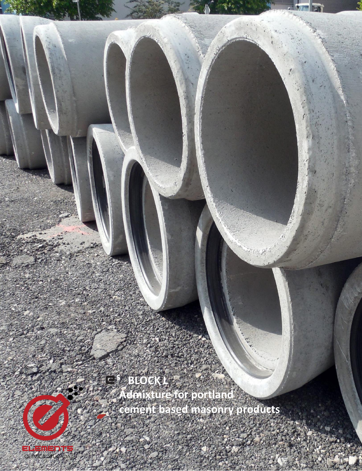**<sup>5</sup> BLOCK L** Ċ. **Admixture for portland cement based masonry products**

**Canal Report** 

**<sup>5</sup> BLOCK L**

1

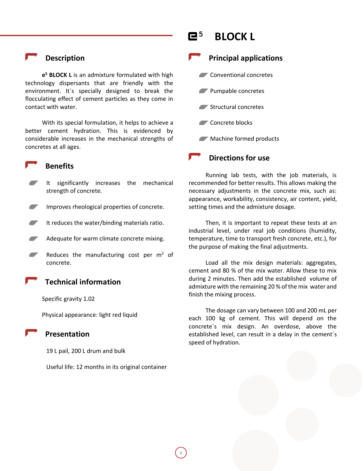## **Description**

**e <sup>5</sup> BLOCK L** is an admixture formulated with high technology dispersants that are friendly with the environment. It´s specially designed to break the flocculating effect of cement particles as they come in contact with water.

With its special formulation, it helps to achieve a better cement hydration. This is evidenced by considerable increases in the mechanical strengths of concretes at all ages.

### **Benefits**

- It significantly increases the mechanical strength of concrete.
- Improves rheological properties of concrete.
- It reduces the water/binding materials ratio.
- Adequate for warm climate concrete mixing.
- ▰ Reduces the manufacturing cost per  $m<sup>3</sup>$  of concrete.

 **Technical information**

Specific gravity 1.02

Physical appearance: light red liquid

## **Presentation**

19 L pail, 200 L drum and bulk

Useful life: 12 months in its original container

2



## **Principal applications**

- **Conventional concretes**
- Pumpable concretes
- **Structural concretes**
- Concrete blocks
- **Machine formed products**



Running lab tests, with the job materials, is recommended for better results. This allows making the necessary adjustments in the concrete mix, such as: appearance, workability, consistency, air content, yield, setting times and the admixture dosage.

Then, it is important to repeat these tests at an industrial level, under real job conditions (humidity, temperature, time to transport fresh concrete, etc.), for the purpose of making the final adjustments.

Load all the mix design materials: aggregates, cement and 80 % of the mix water. Allow these to mix during 2 minutes. Then add the established volume of admixture with the remaining 20 % of the mix water and finish the mixing process.

The dosage can vary between 100 and 200 mL per each 100 kg of cement. This will depend on the concrete´s mix design. An overdose, above the established level, can result in a delay in the cement´s speed of hydration.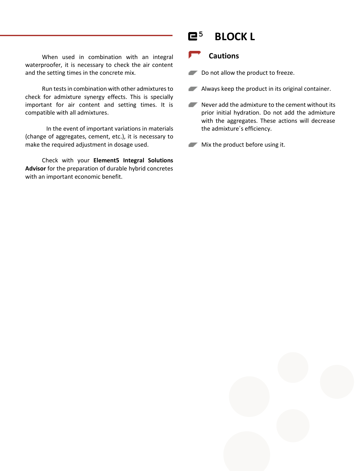When used in combination with an integral waterproofer, it is necessary to check the air content and the setting times in the concrete mix.

Run tests in combination with other admixtures to check for admixture synergy effects. This is specially important for air content and setting times. It is compatible with all admixtures.

In the event of important variations in materials (change of aggregates, cement, etc.), it is necessary to make the required adjustment in dosage used.

Check with your **Element5 Integral Solutions Advisor** for the preparation of durable hybrid concretes with an important economic benefit.

# **<sup>5</sup> BLOCK L**

## **Cautions**

Do not allow the product to freeze.

**Always keep the product in its original container.** 

Never add the admixture to the cement without its prior initial hydration. Do not add the admixture with the aggregates. These actions will decrease the admixture´s efficiency.

**Mix the product before using it.**